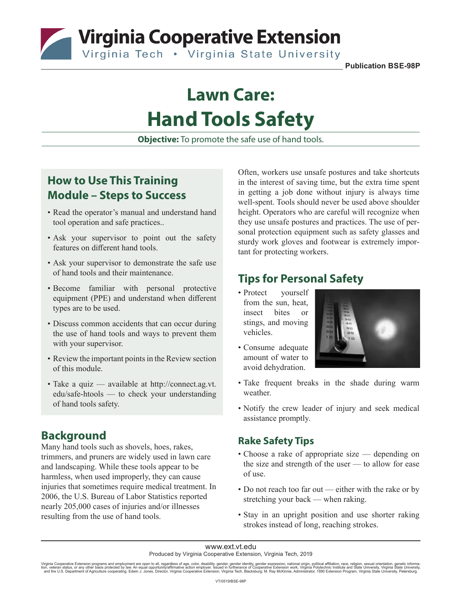Virginia Cooperative Extension

Virginia Tech . Virginia State University

**Publication BSE-98P**

# **Lawn Care: Hand Tools Safety**

**Objective:** To promote the safe use of hand tools.

### **How to Use This Training Module – Steps to Success**

- Read the operator's manual and understand hand tool operation and safe practices..
- Ask your supervisor to point out the safety features on different hand tools.
- Ask your supervisor to demonstrate the safe use of hand tools and their maintenance.
- Become familiar with personal protective equipment (PPE) and understand when different types are to be used.
- Discuss common accidents that can occur during the use of hand tools and ways to prevent them with your supervisor.
- Review the important points in the Review section of this module.
- Take a quiz available at http://connect.ag.vt. edu/safe-htools — to check your understanding of hand tools safety.

## **Background**

Many hand tools such as shovels, hoes, rakes, trimmers, and pruners are widely used in lawn care and landscaping. While these tools appear to be harmless, when used improperly, they can cause injuries that sometimes require medical treatment. In 2006, the U.S. Bureau of Labor Statistics reported nearly 205,000 cases of injuries and/or illnesses resulting from the use of hand tools.

Often, workers use unsafe postures and take shortcuts in the interest of saving time, but the extra time spent in getting a job done without injury is always time well-spent. Tools should never be used above shoulder height. Operators who are careful will recognize when they use unsafe postures and practices. The use of personal protection equipment such as safety glasses and sturdy work gloves and footwear is extremely important for protecting workers.

## **Tips for Personal Safety**

- Protect yourself from the sun, heat, insect bites or stings, and moving vehicles.
- Consume adequate amount of water to avoid dehydration.



- Take frequent breaks in the shade during warm weather.
- Notify the crew leader of injury and seek medical assistance promptly.

#### **Rake Safety Tips**

- Choose a rake of appropriate size depending on the size and strength of the user — to allow for ease of use.
- Do not reach too far out either with the rake or by stretching your back — when raking.
- Stay in an upright position and use shorter raking strokes instead of long, reaching strokes.

## www.ext.vt.edu

Produced by Virginia Cooperative Extension, Virginia Tech, 2019

Virginia Cooperative Extension programs and employment are open to all, regardless of age, color, disability, gender, gender identity, gender expression, national origin, political affiliation, race, religion, sexual orien